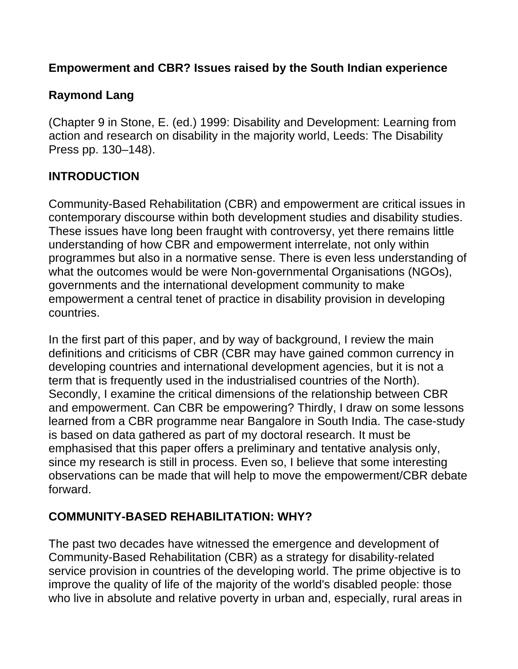#### **Empowerment and CBR? Issues raised by the South Indian experience**

### **Raymond Lang**

(Chapter 9 in Stone, E. (ed.) 1999: Disability and Development: Learning from action and research on disability in the majority world, Leeds: The Disability Press pp. 130–148).

#### **INTRODUCTION**

Community-Based Rehabilitation (CBR) and empowerment are critical issues in contemporary discourse within both development studies and disability studies. These issues have long been fraught with controversy, yet there remains little understanding of how CBR and empowerment interrelate, not only within programmes but also in a normative sense. There is even less understanding of what the outcomes would be were Non-governmental Organisations (NGOs), governments and the international development community to make empowerment a central tenet of practice in disability provision in developing countries.

In the first part of this paper, and by way of background, I review the main definitions and criticisms of CBR (CBR may have gained common currency in developing countries and international development agencies, but it is not a term that is frequently used in the industrialised countries of the North). Secondly, I examine the critical dimensions of the relationship between CBR and empowerment. Can CBR be empowering? Thirdly, I draw on some lessons learned from a CBR programme near Bangalore in South India. The case-study is based on data gathered as part of my doctoral research. It must be emphasised that this paper offers a preliminary and tentative analysis only, since my research is still in process. Even so, I believe that some interesting observations can be made that will help to move the empowerment/CBR debate forward.

### **COMMUNITY-BASED REHABILITATION: WHY?**

The past two decades have witnessed the emergence and development of Community-Based Rehabilitation (CBR) as a strategy for disability-related service provision in countries of the developing world. The prime objective is to improve the quality of life of the majority of the world's disabled people: those who live in absolute and relative poverty in urban and, especially, rural areas in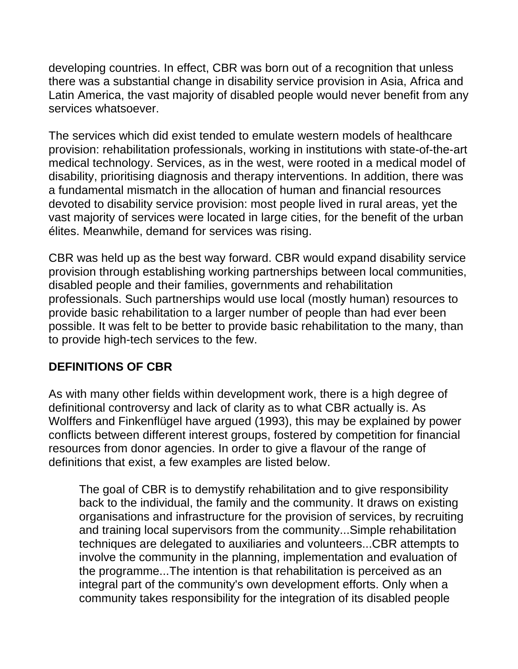developing countries. In effect, CBR was born out of a recognition that unless there was a substantial change in disability service provision in Asia, Africa and Latin America, the vast majority of disabled people would never benefit from any services whatsoever.

The services which did exist tended to emulate western models of healthcare provision: rehabilitation professionals, working in institutions with state-of-the-art medical technology. Services, as in the west, were rooted in a medical model of disability, prioritising diagnosis and therapy interventions. In addition, there was a fundamental mismatch in the allocation of human and financial resources devoted to disability service provision: most people lived in rural areas, yet the vast majority of services were located in large cities, for the benefit of the urban élites. Meanwhile, demand for services was rising.

CBR was held up as the best way forward. CBR would expand disability service provision through establishing working partnerships between local communities, disabled people and their families, governments and rehabilitation professionals. Such partnerships would use local (mostly human) resources to provide basic rehabilitation to a larger number of people than had ever been possible. It was felt to be better to provide basic rehabilitation to the many, than to provide high-tech services to the few.

### **DEFINITIONS OF CBR**

As with many other fields within development work, there is a high degree of definitional controversy and lack of clarity as to what CBR actually is. As Wolffers and Finkenflügel have argued (1993), this may be explained by power conflicts between different interest groups, fostered by competition for financial resources from donor agencies. In order to give a flavour of the range of definitions that exist, a few examples are listed below.

The goal of CBR is to demystify rehabilitation and to give responsibility back to the individual, the family and the community. It draws on existing organisations and infrastructure for the provision of services, by recruiting and training local supervisors from the community...Simple rehabilitation techniques are delegated to auxiliaries and volunteers...CBR attempts to involve the community in the planning, implementation and evaluation of the programme...The intention is that rehabilitation is perceived as an integral part of the community's own development efforts. Only when a community takes responsibility for the integration of its disabled people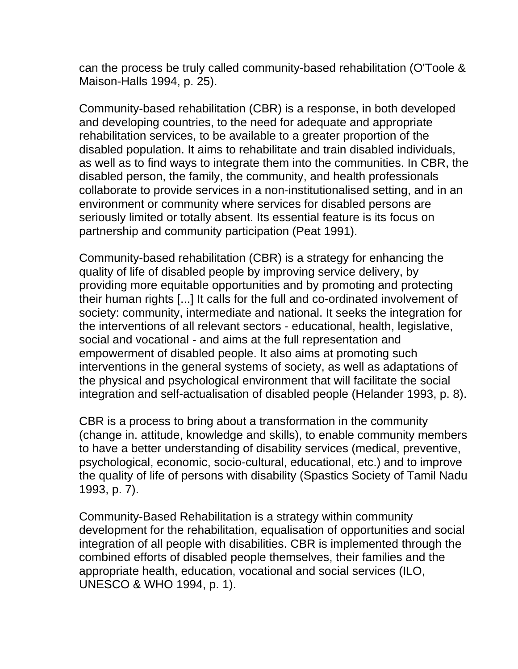can the process be truly called community-based rehabilitation (O'Toole & Maison-Halls 1994, p. 25).

Community-based rehabilitation (CBR) is a response, in both developed and developing countries, to the need for adequate and appropriate rehabilitation services, to be available to a greater proportion of the disabled population. It aims to rehabilitate and train disabled individuals, as well as to find ways to integrate them into the communities. In CBR, the disabled person, the family, the community, and health professionals collaborate to provide services in a non-institutionalised setting, and in an environment or community where services for disabled persons are seriously limited or totally absent. Its essential feature is its focus on partnership and community participation (Peat 1991).

Community-based rehabilitation (CBR) is a strategy for enhancing the quality of life of disabled people by improving service delivery, by providing more equitable opportunities and by promoting and protecting their human rights [...] It calls for the full and co-ordinated involvement of society: community, intermediate and national. It seeks the integration for the interventions of all relevant sectors - educational, health, legislative, social and vocational - and aims at the full representation and empowerment of disabled people. It also aims at promoting such interventions in the general systems of society, as well as adaptations of the physical and psychological environment that will facilitate the social integration and self-actualisation of disabled people (Helander 1993, p. 8).

CBR is a process to bring about a transformation in the community (change in. attitude, knowledge and skills), to enable community members to have a better understanding of disability services (medical, preventive, psychological, economic, socio-cultural, educational, etc.) and to improve the quality of life of persons with disability (Spastics Society of Tamil Nadu 1993, p. 7).

Community-Based Rehabilitation is a strategy within community development for the rehabilitation, equalisation of opportunities and social integration of all people with disabilities. CBR is implemented through the combined efforts of disabled people themselves, their families and the appropriate health, education, vocational and social services (ILO, UNESCO & WHO 1994, p. 1).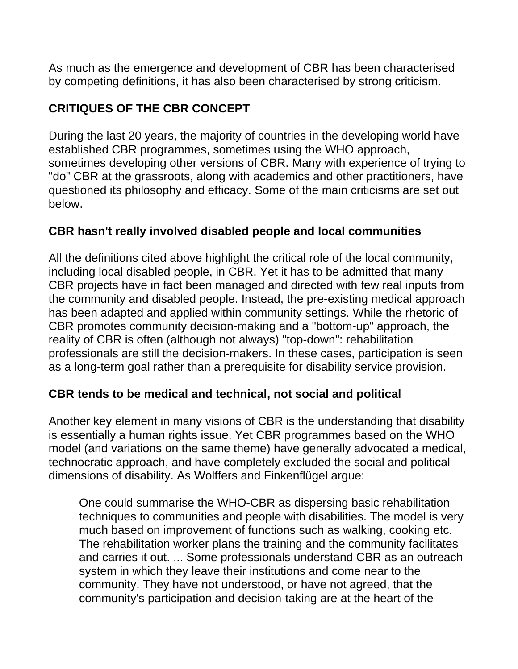As much as the emergence and development of CBR has been characterised by competing definitions, it has also been characterised by strong criticism.

### **CRITIQUES OF THE CBR CONCEPT**

During the last 20 years, the majority of countries in the developing world have established CBR programmes, sometimes using the WHO approach, sometimes developing other versions of CBR. Many with experience of trying to "do" CBR at the grassroots, along with academics and other practitioners, have questioned its philosophy and efficacy. Some of the main criticisms are set out below.

### **CBR hasn't really involved disabled people and local communities**

All the definitions cited above highlight the critical role of the local community, including local disabled people, in CBR. Yet it has to be admitted that many CBR projects have in fact been managed and directed with few real inputs from the community and disabled people. Instead, the pre-existing medical approach has been adapted and applied within community settings. While the rhetoric of CBR promotes community decision-making and a "bottom-up" approach, the reality of CBR is often (although not always) "top-down": rehabilitation professionals are still the decision-makers. In these cases, participation is seen as a long-term goal rather than a prerequisite for disability service provision.

### **CBR tends to be medical and technical, not social and political**

Another key element in many visions of CBR is the understanding that disability is essentially a human rights issue. Yet CBR programmes based on the WHO model (and variations on the same theme) have generally advocated a medical, technocratic approach, and have completely excluded the social and political dimensions of disability. As Wolffers and Finkenflügel argue:

One could summarise the WHO-CBR as dispersing basic rehabilitation techniques to communities and people with disabilities. The model is very much based on improvement of functions such as walking, cooking etc. The rehabilitation worker plans the training and the community facilitates and carries it out. ... Some professionals understand CBR as an outreach system in which they leave their institutions and come near to the community. They have not understood, or have not agreed, that the community's participation and decision-taking are at the heart of the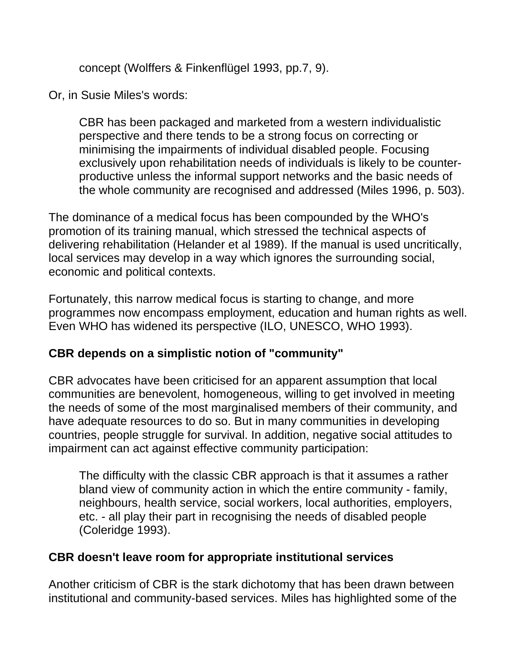concept (Wolffers & Finkenflügel 1993, pp.7, 9).

Or, in Susie Miles's words:

CBR has been packaged and marketed from a western individualistic perspective and there tends to be a strong focus on correcting or minimising the impairments of individual disabled people. Focusing exclusively upon rehabilitation needs of individuals is likely to be counterproductive unless the informal support networks and the basic needs of the whole community are recognised and addressed (Miles 1996, p. 503).

The dominance of a medical focus has been compounded by the WHO's promotion of its training manual, which stressed the technical aspects of delivering rehabilitation (Helander et al 1989). If the manual is used uncritically, local services may develop in a way which ignores the surrounding social, economic and political contexts.

Fortunately, this narrow medical focus is starting to change, and more programmes now encompass employment, education and human rights as well. Even WHO has widened its perspective (ILO, UNESCO, WHO 1993).

### **CBR depends on a simplistic notion of "community"**

CBR advocates have been criticised for an apparent assumption that local communities are benevolent, homogeneous, willing to get involved in meeting the needs of some of the most marginalised members of their community, and have adequate resources to do so. But in many communities in developing countries, people struggle for survival. In addition, negative social attitudes to impairment can act against effective community participation:

The difficulty with the classic CBR approach is that it assumes a rather bland view of community action in which the entire community - family, neighbours, health service, social workers, local authorities, employers, etc. - all play their part in recognising the needs of disabled people (Coleridge 1993).

### **CBR doesn't leave room for appropriate institutional services**

Another criticism of CBR is the stark dichotomy that has been drawn between institutional and community-based services. Miles has highlighted some of the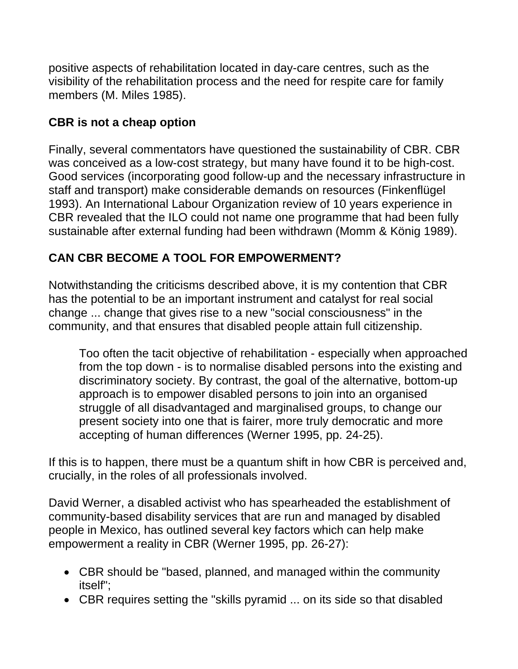positive aspects of rehabilitation located in day-care centres, such as the visibility of the rehabilitation process and the need for respite care for family members (M. Miles 1985).

### **CBR is not a cheap option**

Finally, several commentators have questioned the sustainability of CBR. CBR was conceived as a low-cost strategy, but many have found it to be high-cost. Good services (incorporating good follow-up and the necessary infrastructure in staff and transport) make considerable demands on resources (Finkenflügel 1993). An International Labour Organization review of 10 years experience in CBR revealed that the ILO could not name one programme that had been fully sustainable after external funding had been withdrawn (Momm & König 1989).

# **CAN CBR BECOME A TOOL FOR EMPOWERMENT?**

Notwithstanding the criticisms described above, it is my contention that CBR has the potential to be an important instrument and catalyst for real social change ... change that gives rise to a new "social consciousness" in the community, and that ensures that disabled people attain full citizenship.

Too often the tacit objective of rehabilitation - especially when approached from the top down - is to normalise disabled persons into the existing and discriminatory society. By contrast, the goal of the alternative, bottom-up approach is to empower disabled persons to join into an organised struggle of all disadvantaged and marginalised groups, to change our present society into one that is fairer, more truly democratic and more accepting of human differences (Werner 1995, pp. 24-25).

If this is to happen, there must be a quantum shift in how CBR is perceived and, crucially, in the roles of all professionals involved.

David Werner, a disabled activist who has spearheaded the establishment of community-based disability services that are run and managed by disabled people in Mexico, has outlined several key factors which can help make empowerment a reality in CBR (Werner 1995, pp. 26-27):

- CBR should be "based, planned, and managed within the community itself";
- CBR requires setting the "skills pyramid ... on its side so that disabled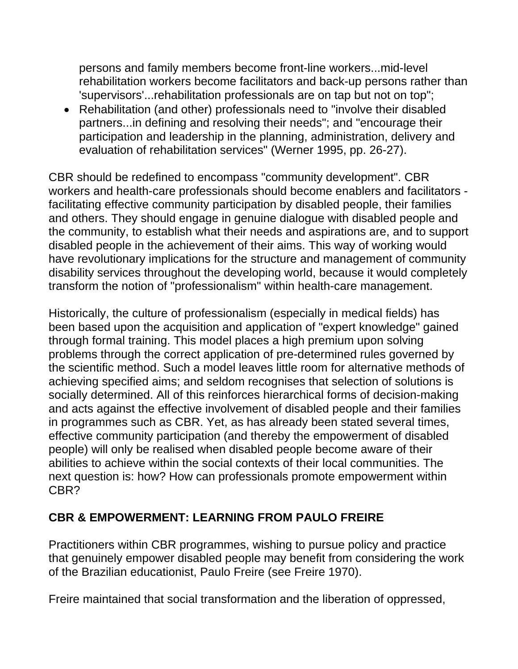persons and family members become front-line workers...mid-level rehabilitation workers become facilitators and back-up persons rather than 'supervisors'...rehabilitation professionals are on tap but not on top";

• Rehabilitation (and other) professionals need to "involve their disabled partners...in defining and resolving their needs"; and "encourage their participation and leadership in the planning, administration, delivery and evaluation of rehabilitation services" (Werner 1995, pp. 26-27).

CBR should be redefined to encompass "community development". CBR workers and health-care professionals should become enablers and facilitators facilitating effective community participation by disabled people, their families and others. They should engage in genuine dialogue with disabled people and the community, to establish what their needs and aspirations are, and to support disabled people in the achievement of their aims. This way of working would have revolutionary implications for the structure and management of community disability services throughout the developing world, because it would completely transform the notion of "professionalism" within health-care management.

Historically, the culture of professionalism (especially in medical fields) has been based upon the acquisition and application of "expert knowledge" gained through formal training. This model places a high premium upon solving problems through the correct application of pre-determined rules governed by the scientific method. Such a model leaves little room for alternative methods of achieving specified aims; and seldom recognises that selection of solutions is socially determined. All of this reinforces hierarchical forms of decision-making and acts against the effective involvement of disabled people and their families in programmes such as CBR. Yet, as has already been stated several times, effective community participation (and thereby the empowerment of disabled people) will only be realised when disabled people become aware of their abilities to achieve within the social contexts of their local communities. The next question is: how? How can professionals promote empowerment within CBR?

### **CBR & EMPOWERMENT: LEARNING FROM PAULO FREIRE**

Practitioners within CBR programmes, wishing to pursue policy and practice that genuinely empower disabled people may benefit from considering the work of the Brazilian educationist, Paulo Freire (see Freire 1970).

Freire maintained that social transformation and the liberation of oppressed,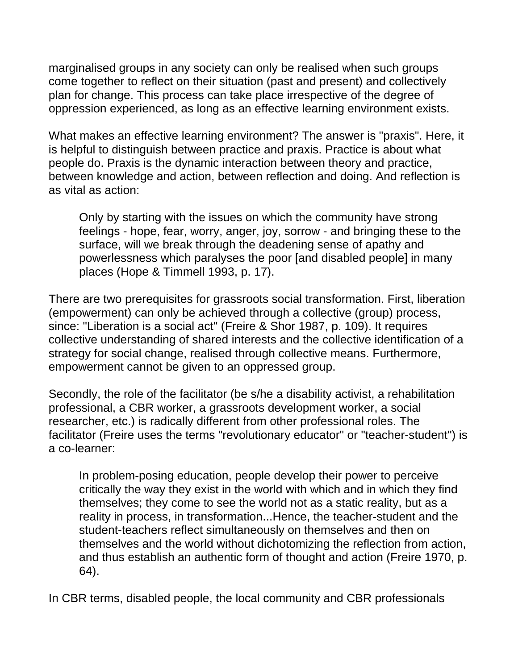marginalised groups in any society can only be realised when such groups come together to reflect on their situation (past and present) and collectively plan for change. This process can take place irrespective of the degree of oppression experienced, as long as an effective learning environment exists.

What makes an effective learning environment? The answer is "praxis". Here, it is helpful to distinguish between practice and praxis. Practice is about what people do. Praxis is the dynamic interaction between theory and practice, between knowledge and action, between reflection and doing. And reflection is as vital as action:

Only by starting with the issues on which the community have strong feelings - hope, fear, worry, anger, joy, sorrow - and bringing these to the surface, will we break through the deadening sense of apathy and powerlessness which paralyses the poor [and disabled people] in many places (Hope & Timmell 1993, p. 17).

There are two prerequisites for grassroots social transformation. First, liberation (empowerment) can only be achieved through a collective (group) process, since: "Liberation is a social act" (Freire & Shor 1987, p. 109). It requires collective understanding of shared interests and the collective identification of a strategy for social change, realised through collective means. Furthermore, empowerment cannot be given to an oppressed group.

Secondly, the role of the facilitator (be s/he a disability activist, a rehabilitation professional, a CBR worker, a grassroots development worker, a social researcher, etc.) is radically different from other professional roles. The facilitator (Freire uses the terms "revolutionary educator" or "teacher-student") is a co-learner:

In problem-posing education, people develop their power to perceive critically the way they exist in the world with which and in which they find themselves; they come to see the world not as a static reality, but as a reality in process, in transformation...Hence, the teacher-student and the student-teachers reflect simultaneously on themselves and then on themselves and the world without dichotomizing the reflection from action, and thus establish an authentic form of thought and action (Freire 1970, p. 64).

In CBR terms, disabled people, the local community and CBR professionals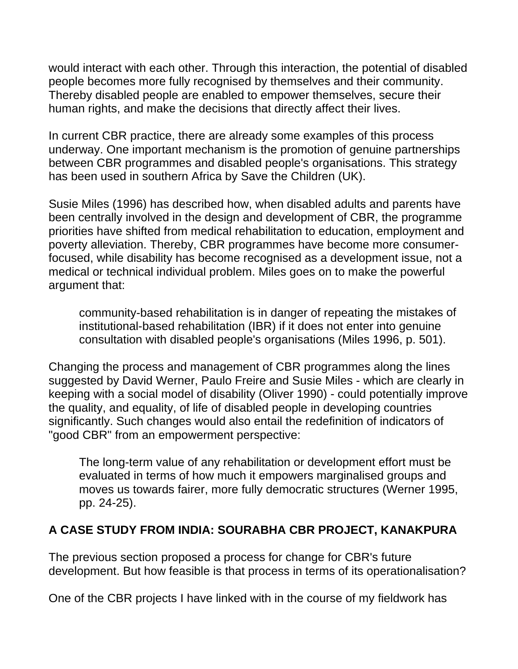would interact with each other. Through this interaction, the potential of disabled people becomes more fully recognised by themselves and their community. Thereby disabled people are enabled to empower themselves, secure their human rights, and make the decisions that directly affect their lives.

In current CBR practice, there are already some examples of this process underway. One important mechanism is the promotion of genuine partnerships between CBR programmes and disabled people's organisations. This strategy has been used in southern Africa by Save the Children (UK).

Susie Miles (1996) has described how, when disabled adults and parents have been centrally involved in the design and development of CBR, the programme priorities have shifted from medical rehabilitation to education, employment and poverty alleviation. Thereby, CBR programmes have become more consumerfocused, while disability has become recognised as a development issue, not a medical or technical individual problem. Miles goes on to make the powerful argument that:

community-based rehabilitation is in danger of repeating the mistakes of institutional-based rehabilitation (IBR) if it does not enter into genuine consultation with disabled people's organisations (Miles 1996, p. 501).

Changing the process and management of CBR programmes along the lines suggested by David Werner, Paulo Freire and Susie Miles - which are clearly in keeping with a social model of disability (Oliver 1990) - could potentially improve the quality, and equality, of life of disabled people in developing countries significantly. Such changes would also entail the redefinition of indicators of "good CBR" from an empowerment perspective:

The long-term value of any rehabilitation or development effort must be evaluated in terms of how much it empowers marginalised groups and moves us towards fairer, more fully democratic structures (Werner 1995, pp. 24-25).

### **A CASE STUDY FROM INDIA: SOURABHA CBR PROJECT, KANAKPURA**

The previous section proposed a process for change for CBR's future development. But how feasible is that process in terms of its operationalisation?

One of the CBR projects I have linked with in the course of my fieldwork has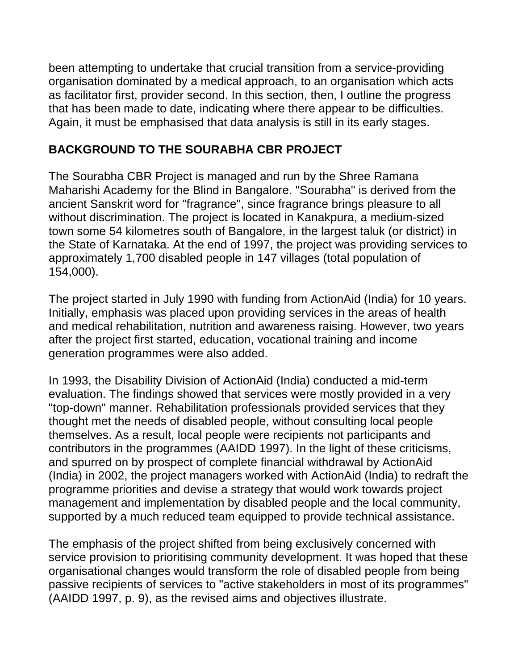been attempting to undertake that crucial transition from a service-providing organisation dominated by a medical approach, to an organisation which acts as facilitator first, provider second. In this section, then, I outline the progress that has been made to date, indicating where there appear to be difficulties. Again, it must be emphasised that data analysis is still in its early stages.

### **BACKGROUND TO THE SOURABHA CBR PROJECT**

The Sourabha CBR Project is managed and run by the Shree Ramana Maharishi Academy for the Blind in Bangalore. "Sourabha" is derived from the ancient Sanskrit word for "fragrance", since fragrance brings pleasure to all without discrimination. The project is located in Kanakpura, a medium-sized town some 54 kilometres south of Bangalore, in the largest taluk (or district) in the State of Karnataka. At the end of 1997, the project was providing services to approximately 1,700 disabled people in 147 villages (total population of 154,000).

The project started in July 1990 with funding from ActionAid (India) for 10 years. Initially, emphasis was placed upon providing services in the areas of health and medical rehabilitation, nutrition and awareness raising. However, two years after the project first started, education, vocational training and income generation programmes were also added.

In 1993, the Disability Division of ActionAid (India) conducted a mid-term evaluation. The findings showed that services were mostly provided in a very "top-down" manner. Rehabilitation professionals provided services that they thought met the needs of disabled people, without consulting local people themselves. As a result, local people were recipients not participants and contributors in the programmes (AAIDD 1997). In the light of these criticisms, and spurred on by prospect of complete financial withdrawal by ActionAid (India) in 2002, the project managers worked with ActionAid (India) to redraft the programme priorities and devise a strategy that would work towards project management and implementation by disabled people and the local community, supported by a much reduced team equipped to provide technical assistance.

The emphasis of the project shifted from being exclusively concerned with service provision to prioritising community development. It was hoped that these organisational changes would transform the role of disabled people from being passive recipients of services to "active stakeholders in most of its programmes" (AAIDD 1997, p. 9), as the revised aims and objectives illustrate.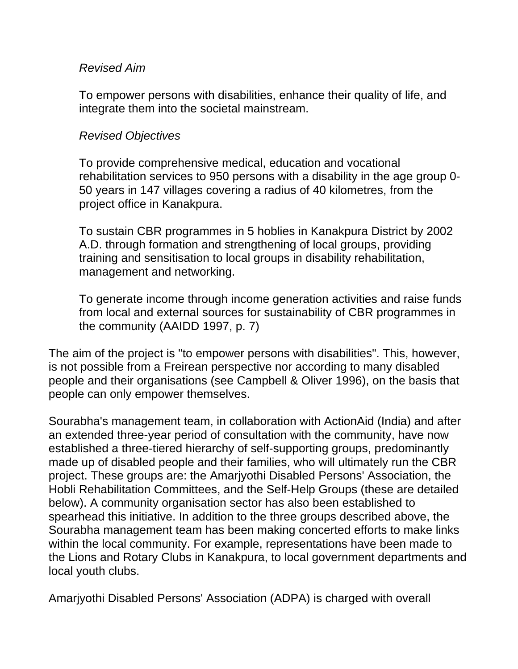#### *Revised Aim*

To empower persons with disabilities, enhance their quality of life, and integrate them into the societal mainstream.

#### *Revised Objectives*

To provide comprehensive medical, education and vocational rehabilitation services to 950 persons with a disability in the age group 0- 50 years in 147 villages covering a radius of 40 kilometres, from the project office in Kanakpura.

To sustain CBR programmes in 5 hoblies in Kanakpura District by 2002 A.D. through formation and strengthening of local groups, providing training and sensitisation to local groups in disability rehabilitation, management and networking.

To generate income through income generation activities and raise funds from local and external sources for sustainability of CBR programmes in the community (AAIDD 1997, p. 7)

The aim of the project is "to empower persons with disabilities". This, however, is not possible from a Freirean perspective nor according to many disabled people and their organisations (see Campbell & Oliver 1996), on the basis that people can only empower themselves.

Sourabha's management team, in collaboration with ActionAid (India) and after an extended three-year period of consultation with the community, have now established a three-tiered hierarchy of self-supporting groups, predominantly made up of disabled people and their families, who will ultimately run the CBR project. These groups are: the Amarjyothi Disabled Persons' Association, the Hobli Rehabilitation Committees, and the Self-Help Groups (these are detailed below). A community organisation sector has also been established to spearhead this initiative. In addition to the three groups described above, the Sourabha management team has been making concerted efforts to make links within the local community. For example, representations have been made to the Lions and Rotary Clubs in Kanakpura, to local government departments and local youth clubs.

Amarjyothi Disabled Persons' Association (ADPA) is charged with overall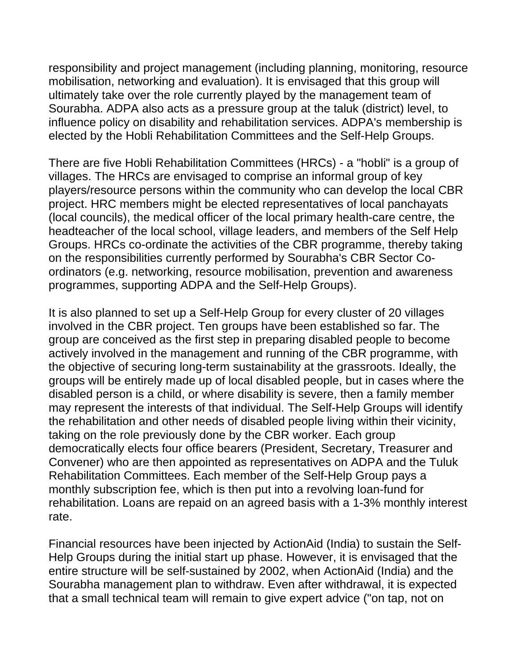responsibility and project management (including planning, monitoring, resource mobilisation, networking and evaluation). It is envisaged that this group will ultimately take over the role currently played by the management team of Sourabha. ADPA also acts as a pressure group at the taluk (district) level, to influence policy on disability and rehabilitation services. ADPA's membership is elected by the Hobli Rehabilitation Committees and the Self-Help Groups.

There are five Hobli Rehabilitation Committees (HRCs) - a "hobli" is a group of villages. The HRCs are envisaged to comprise an informal group of key players/resource persons within the community who can develop the local CBR project. HRC members might be elected representatives of local panchayats (local councils), the medical officer of the local primary health-care centre, the headteacher of the local school, village leaders, and members of the Self Help Groups. HRCs co-ordinate the activities of the CBR programme, thereby taking on the responsibilities currently performed by Sourabha's CBR Sector Coordinators (e.g. networking, resource mobilisation, prevention and awareness programmes, supporting ADPA and the Self-Help Groups).

It is also planned to set up a Self-Help Group for every cluster of 20 villages involved in the CBR project. Ten groups have been established so far. The group are conceived as the first step in preparing disabled people to become actively involved in the management and running of the CBR programme, with the objective of securing long-term sustainability at the grassroots. Ideally, the groups will be entirely made up of local disabled people, but in cases where the disabled person is a child, or where disability is severe, then a family member may represent the interests of that individual. The Self-Help Groups will identify the rehabilitation and other needs of disabled people living within their vicinity, taking on the role previously done by the CBR worker. Each group democratically elects four office bearers (President, Secretary, Treasurer and Convener) who are then appointed as representatives on ADPA and the Tuluk Rehabilitation Committees. Each member of the Self-Help Group pays a monthly subscription fee, which is then put into a revolving loan-fund for rehabilitation. Loans are repaid on an agreed basis with a 1-3% monthly interest rate.

Financial resources have been injected by ActionAid (India) to sustain the Self-Help Groups during the initial start up phase. However, it is envisaged that the entire structure will be self-sustained by 2002, when ActionAid (India) and the Sourabha management plan to withdraw. Even after withdrawal, it is expected that a small technical team will remain to give expert advice ("on tap, not on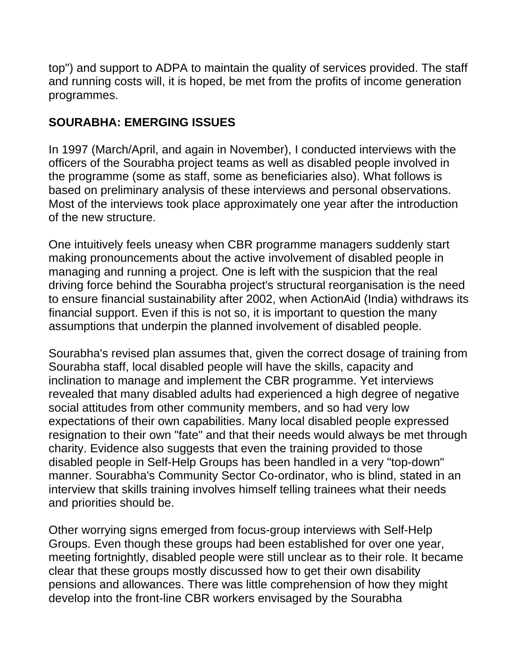top") and support to ADPA to maintain the quality of services provided. The staff and running costs will, it is hoped, be met from the profits of income generation programmes.

# **SOURABHA: EMERGING ISSUES**

In 1997 (March/April, and again in November), I conducted interviews with the officers of the Sourabha project teams as well as disabled people involved in the programme (some as staff, some as beneficiaries also). What follows is based on preliminary analysis of these interviews and personal observations. Most of the interviews took place approximately one year after the introduction of the new structure.

One intuitively feels uneasy when CBR programme managers suddenly start making pronouncements about the active involvement of disabled people in managing and running a project. One is left with the suspicion that the real driving force behind the Sourabha project's structural reorganisation is the need to ensure financial sustainability after 2002, when ActionAid (India) withdraws its financial support. Even if this is not so, it is important to question the many assumptions that underpin the planned involvement of disabled people.

Sourabha's revised plan assumes that, given the correct dosage of training from Sourabha staff, local disabled people will have the skills, capacity and inclination to manage and implement the CBR programme. Yet interviews revealed that many disabled adults had experienced a high degree of negative social attitudes from other community members, and so had very low expectations of their own capabilities. Many local disabled people expressed resignation to their own "fate" and that their needs would always be met through charity. Evidence also suggests that even the training provided to those disabled people in Self-Help Groups has been handled in a very "top-down" manner. Sourabha's Community Sector Co-ordinator, who is blind, stated in an interview that skills training involves himself telling trainees what their needs and priorities should be.

Other worrying signs emerged from focus-group interviews with Self-Help Groups. Even though these groups had been established for over one year, meeting fortnightly, disabled people were still unclear as to their role. It became clear that these groups mostly discussed how to get their own disability pensions and allowances. There was little comprehension of how they might develop into the front-line CBR workers envisaged by the Sourabha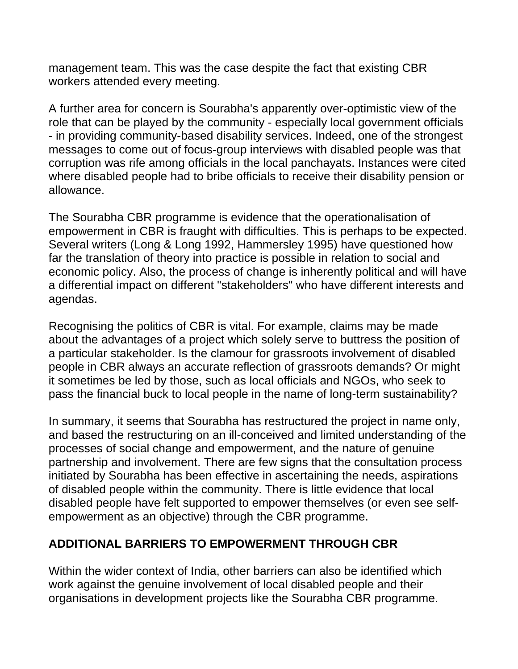management team. This was the case despite the fact that existing CBR workers attended every meeting.

A further area for concern is Sourabha's apparently over-optimistic view of the role that can be played by the community - especially local government officials - in providing community-based disability services. Indeed, one of the strongest messages to come out of focus-group interviews with disabled people was that corruption was rife among officials in the local panchayats. Instances were cited where disabled people had to bribe officials to receive their disability pension or allowance.

The Sourabha CBR programme is evidence that the operationalisation of empowerment in CBR is fraught with difficulties. This is perhaps to be expected. Several writers (Long & Long 1992, Hammersley 1995) have questioned how far the translation of theory into practice is possible in relation to social and economic policy. Also, the process of change is inherently political and will have a differential impact on different "stakeholders" who have different interests and agendas.

Recognising the politics of CBR is vital. For example, claims may be made about the advantages of a project which solely serve to buttress the position of a particular stakeholder. Is the clamour for grassroots involvement of disabled people in CBR always an accurate reflection of grassroots demands? Or might it sometimes be led by those, such as local officials and NGOs, who seek to pass the financial buck to local people in the name of long-term sustainability?

In summary, it seems that Sourabha has restructured the project in name only, and based the restructuring on an ill-conceived and limited understanding of the processes of social change and empowerment, and the nature of genuine partnership and involvement. There are few signs that the consultation process initiated by Sourabha has been effective in ascertaining the needs, aspirations of disabled people within the community. There is little evidence that local disabled people have felt supported to empower themselves (or even see selfempowerment as an objective) through the CBR programme.

### **ADDITIONAL BARRIERS TO EMPOWERMENT THROUGH CBR**

Within the wider context of India, other barriers can also be identified which work against the genuine involvement of local disabled people and their organisations in development projects like the Sourabha CBR programme.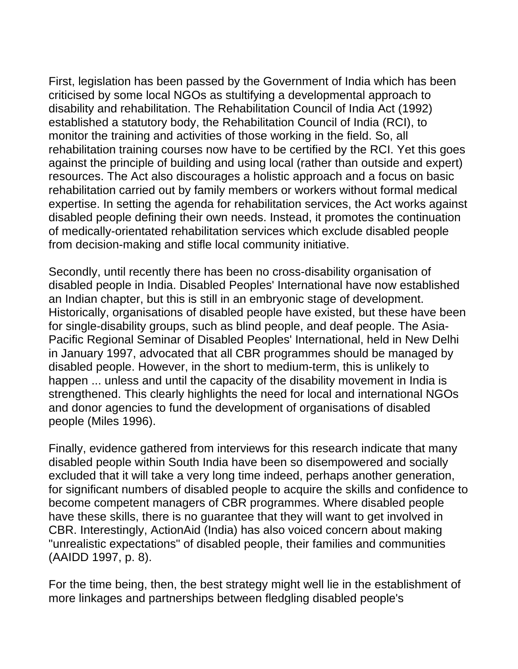First, legislation has been passed by the Government of India which has been criticised by some local NGOs as stultifying a developmental approach to disability and rehabilitation. The Rehabilitation Council of India Act (1992) established a statutory body, the Rehabilitation Council of India (RCI), to monitor the training and activities of those working in the field. So, all rehabilitation training courses now have to be certified by the RCI. Yet this goes against the principle of building and using local (rather than outside and expert) resources. The Act also discourages a holistic approach and a focus on basic rehabilitation carried out by family members or workers without formal medical expertise. In setting the agenda for rehabilitation services, the Act works against disabled people defining their own needs. Instead, it promotes the continuation of medically-orientated rehabilitation services which exclude disabled people from decision-making and stifle local community initiative.

Secondly, until recently there has been no cross-disability organisation of disabled people in India. Disabled Peoples' International have now established an Indian chapter, but this is still in an embryonic stage of development. Historically, organisations of disabled people have existed, but these have been for single-disability groups, such as blind people, and deaf people. The Asia-Pacific Regional Seminar of Disabled Peoples' International, held in New Delhi in January 1997, advocated that all CBR programmes should be managed by disabled people. However, in the short to medium-term, this is unlikely to happen ... unless and until the capacity of the disability movement in India is strengthened. This clearly highlights the need for local and international NGOs and donor agencies to fund the development of organisations of disabled people (Miles 1996).

Finally, evidence gathered from interviews for this research indicate that many disabled people within South India have been so disempowered and socially excluded that it will take a very long time indeed, perhaps another generation, for significant numbers of disabled people to acquire the skills and confidence to become competent managers of CBR programmes. Where disabled people have these skills, there is no guarantee that they will want to get involved in CBR. Interestingly, ActionAid (India) has also voiced concern about making "unrealistic expectations" of disabled people, their families and communities (AAIDD 1997, p. 8).

For the time being, then, the best strategy might well lie in the establishment of more linkages and partnerships between fledgling disabled people's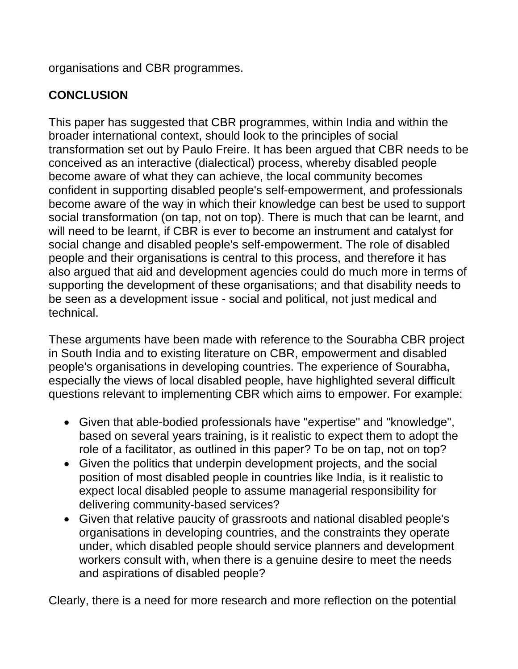organisations and CBR programmes.

# **CONCLUSION**

This paper has suggested that CBR programmes, within India and within the broader international context, should look to the principles of social transformation set out by Paulo Freire. It has been argued that CBR needs to be conceived as an interactive (dialectical) process, whereby disabled people become aware of what they can achieve, the local community becomes confident in supporting disabled people's self-empowerment, and professionals become aware of the way in which their knowledge can best be used to support social transformation (on tap, not on top). There is much that can be learnt, and will need to be learnt, if CBR is ever to become an instrument and catalyst for social change and disabled people's self-empowerment. The role of disabled people and their organisations is central to this process, and therefore it has also argued that aid and development agencies could do much more in terms of supporting the development of these organisations; and that disability needs to be seen as a development issue - social and political, not just medical and technical.

These arguments have been made with reference to the Sourabha CBR project in South India and to existing literature on CBR, empowerment and disabled people's organisations in developing countries. The experience of Sourabha, especially the views of local disabled people, have highlighted several difficult questions relevant to implementing CBR which aims to empower. For example:

- Given that able-bodied professionals have "expertise" and "knowledge", based on several years training, is it realistic to expect them to adopt the role of a facilitator, as outlined in this paper? To be on tap, not on top?
- Given the politics that underpin development projects, and the social position of most disabled people in countries like India, is it realistic to expect local disabled people to assume managerial responsibility for delivering community-based services?
- Given that relative paucity of grassroots and national disabled people's organisations in developing countries, and the constraints they operate under, which disabled people should service planners and development workers consult with, when there is a genuine desire to meet the needs and aspirations of disabled people?

Clearly, there is a need for more research and more reflection on the potential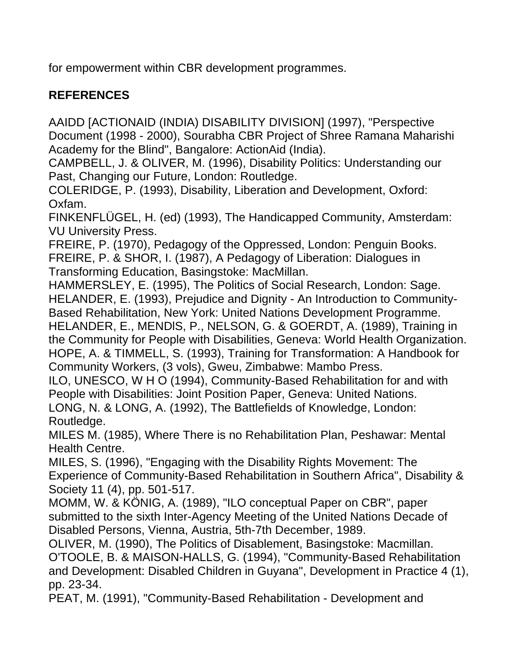for empowerment within CBR development programmes.

### **REFERENCES**

AAIDD [ACTIONAID (INDIA) DISABILITY DIVISION] (1997), "Perspective Document (1998 - 2000), Sourabha CBR Project of Shree Ramana Maharishi Academy for the Blind", Bangalore: ActionAid (India).

CAMPBELL, J. & OLIVER, M. (1996), Disability Politics: Understanding our Past, Changing our Future, London: Routledge.

COLERIDGE, P. (1993), Disability, Liberation and Development, Oxford: Oxfam.

FINKENFLÜGEL, H. (ed) (1993), The Handicapped Community, Amsterdam: VU University Press.

FREIRE, P. (1970), Pedagogy of the Oppressed, London: Penguin Books. FREIRE, P. & SHOR, I. (1987), A Pedagogy of Liberation: Dialogues in Transforming Education, Basingstoke: MacMillan.

HAMMERSLEY, E. (1995), The Politics of Social Research, London: Sage. HELANDER, E. (1993), Prejudice and Dignity - An Introduction to Community-Based Rehabilitation, New York: United Nations Development Programme. HELANDER, E., MENDlS, P., NELSON, G. & GOERDT, A. (1989), Training in the Community for People with Disabilities, Geneva: World Health Organization. HOPE, A. & TIMMELL, S. (1993), Training for Transformation: A Handbook for Community Workers, (3 vols), Gweu, Zimbabwe: Mambo Press.

ILO, UNESCO, W H O (1994), Community-Based Rehabilitation for and with People with Disabilities: Joint Position Paper, Geneva: United Nations. LONG, N. & LONG, A. (1992), The Battlefields of Knowledge, London: Routledge.

MILES M. (1985), Where There is no Rehabilitation Plan, Peshawar: Mental Health Centre.

MILES, S. (1996), "Engaging with the Disability Rights Movement: The Experience of Community-Based Rehabilitation in Southern Africa", Disability & Society 11 (4), pp. 501-517.

MOMM, W. & KÖNIG, A. (1989), "ILO conceptual Paper on CBR", paper submitted to the sixth Inter-Agency Meeting of the United Nations Decade of Disabled Persons, Vienna, Austria, 5th-7th December, 1989.

OLIVER, M. (1990), The Politics of Disablement, Basingstoke: Macmillan. O'TOOLE, B. & MAISON-HALLS, G. (1994), "Community-Based Rehabilitation and Development: Disabled Children in Guyana", Development in Practice 4 (1), pp. 23-34.

PEAT, M. (1991), "Community-Based Rehabilitation - Development and